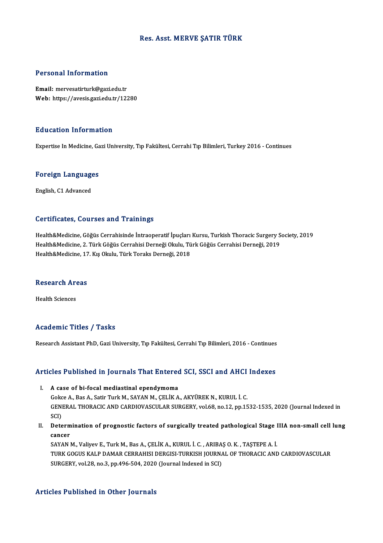## Res. Asst.MERVE ŞATIR TÜRK

## Personal Information

Email:mervesatirturk@gazi.edu.tr Web: https://avesis.gazi.edu.tr/12280

### Education Information

Expertise In Medicine, Gazi University, Tıp Fakültesi, Cerrahi Tıp Bilimleri, Turkey 2016 - Continues

# experuse in medicine, da<br>Foreign Languages <mark>Foreign Language</mark><br>English, C1 Advanced

# English, C1 Advanced<br>Certificates, Courses and Trainings

Certificates, Courses and Trainings<br>Health&Medicine, Göğüs Cerrahisinde İntraoperatif İpuçları Kursu, Turkish Thoracic Surgery Society, 2019<br>Health&Medicine, 3. Türk Göğüs Cerrahisi Derneği Olulu, Türk Göğüs Cerrahisi Dern der effectes, dodroso dira "Frammişs"<br>Health&Medicine, Göğüs Cerrahisinde İntraoperatif İpuçları Kursu, Turkish Thoracic Surgery S<br>Health&Medicine, 2. Türk Göğüs Cerrahisi Derneği Okulu, Türk Göğüs Cerrahisi Derneği, 2019 Health&Medicine, 2. Türk Göğüs Cerrahisi Derneği Okulu, Türk Göğüs Cerrahisi Derneği, 2019<br>Health&Medicine, 17. Kış Okulu, Türk Toraks Derneği, 2018

# nealth&Medicine, 17<br>Research Areas R<mark>esearch Ar</mark><br>Health Sciences

# Academic Titles / Tasks

Research Assistant PhD, Gazi University, Tıp Fakültesi, Cerrahi Tıp Bilimleri, 2016 - Continues

# Research Assistant PhD, Gazi University, Tip Fakultesi, Cerrani Tip Billmieri, 2016 - Continues<br>Articles Published in Journals That Entered SCI, SSCI and AHCI Indexes The Fublished in Journals That Entered<br>I. A case of bi-focal mediastinal ependymoma<br>Colsee A Bas A Setir Turk M SAYAN M CELUZA

SECEA EDILONCE III JOHANIBA ANE ENEGECE BOY, BOST ENE TITULA<br>A case of bi-focal mediastinal ependymoma<br>Gokce A., Bas A., Satir Turk M., SAYAN M., ÇELİK A., AKYÜREK N., KURUL İ. C.<br>CENERAL THORACIC AND CARDIOVASCIJI AR SURC I. A case of bi-focal mediastinal ependymoma<br>Gokce A., Bas A., Satir Turk M., SAYAN M., ÇELİK A., AKYÜREK N., KURUL İ. C.<br>GENERAL THORACIC AND CARDIOVASCULAR SURGERY, vol.68, no.12, pp.1532-1535, 2020 (Journal Indexed in<br>S Gokc<br>GENI<br>SCI)<br>Dete GENERAL THORACIC AND CARDIOVASCULAR SURGERY, vol.68, no.12, pp.1532-1535, 2020 (Journal Indexed in<br>SCI)<br>II. Determination of prognostic factors of surgically treated pathological Stage IIIA non-small cell lung<br>2000000

SCI)<br>Determ<br>cancer<br>savanu Determination of prognostic factors of surgically treated pathological Stage I<br>cancer<br>SAYAN M., Valiyev E., Turk M., Bas A., ÇELİK A., KURUL İ. C. , ARIBAŞ O. K. , TAŞTEPE A. İ.<br>TURK COCUS KALB DAMAR CERRAHISI DERÇISI TURK

cancer<br>SAYAN M., Valiyev E., Turk M., Bas A., ÇELİK A., KURUL İ. C. , ARIBAŞ O. K. , TAŞTEPE A. İ.<br>TURK GOGUS KALP DAMAR CERRAHISI DERGISI-TURKISH JOURNAL OF THORACIC AND CARDIOVASCULAR<br>SURGERY, vol.28, no.3, pp.496-504, 2 SAYAN M., Valiyev E., Turk M., Bas A., ÇELİK A., KURUL İ. C. , ARIBA:<br>TURK GOGUS KALP DAMAR CERRAHISI DERGISI-TURKISH JOURN*!*<br>SURGERY, vol.28, no.3, pp.496-504, 2020 (Journal Indexed in SCI)

### Articles Published in Other Journals